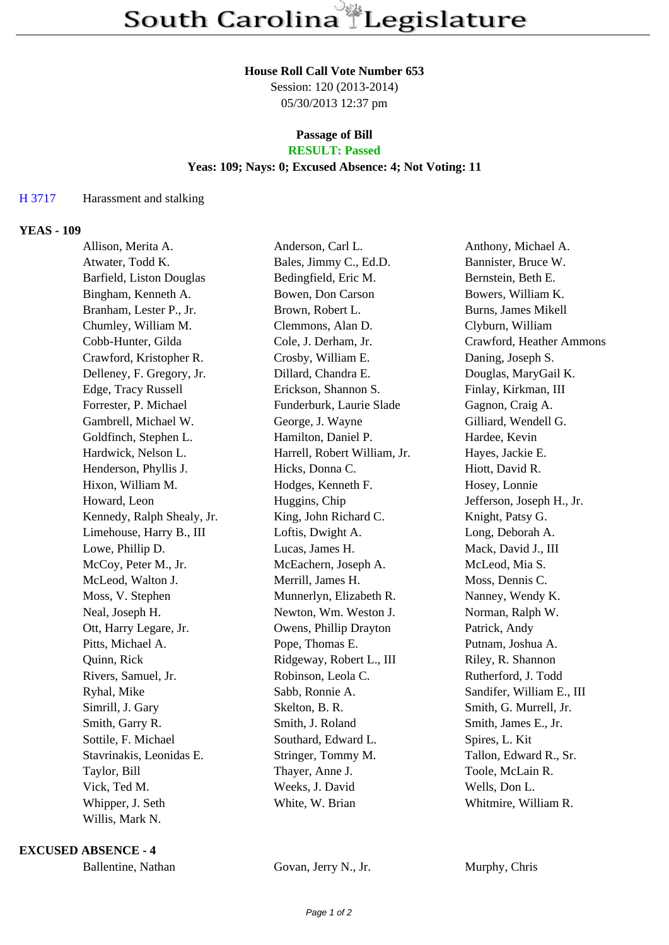## **House Roll Call Vote Number 653**

Session: 120 (2013-2014) 05/30/2013 12:37 pm

## **Passage of Bill RESULT: Passed**

# **Yeas: 109; Nays: 0; Excused Absence: 4; Not Voting: 11**

# H 3717 Harassment and stalking

## **YEAS - 109**

| Allison, Merita A.         | Anderson, Carl L.            | Anthony, Michael A.       |
|----------------------------|------------------------------|---------------------------|
| Atwater, Todd K.           | Bales, Jimmy C., Ed.D.       | Bannister, Bruce W.       |
| Barfield, Liston Douglas   | Bedingfield, Eric M.         | Bernstein, Beth E.        |
| Bingham, Kenneth A.        | Bowen, Don Carson            | Bowers, William K.        |
| Branham, Lester P., Jr.    | Brown, Robert L.             | Burns, James Mikell       |
| Chumley, William M.        | Clemmons, Alan D.            | Clyburn, William          |
| Cobb-Hunter, Gilda         | Cole, J. Derham, Jr.         | Crawford, Heather Ammons  |
| Crawford, Kristopher R.    | Crosby, William E.           | Daning, Joseph S.         |
| Delleney, F. Gregory, Jr.  | Dillard, Chandra E.          | Douglas, MaryGail K.      |
| Edge, Tracy Russell        | Erickson, Shannon S.         | Finlay, Kirkman, III      |
| Forrester, P. Michael      | Funderburk, Laurie Slade     | Gagnon, Craig A.          |
| Gambrell, Michael W.       | George, J. Wayne             | Gilliard, Wendell G.      |
| Goldfinch, Stephen L.      | Hamilton, Daniel P.          | Hardee, Kevin             |
| Hardwick, Nelson L.        | Harrell, Robert William, Jr. | Hayes, Jackie E.          |
| Henderson, Phyllis J.      | Hicks, Donna C.              | Hiott, David R.           |
| Hixon, William M.          | Hodges, Kenneth F.           | Hosey, Lonnie             |
| Howard, Leon               | Huggins, Chip                | Jefferson, Joseph H., Jr. |
| Kennedy, Ralph Shealy, Jr. | King, John Richard C.        | Knight, Patsy G.          |
| Limehouse, Harry B., III   | Loftis, Dwight A.            | Long, Deborah A.          |
| Lowe, Phillip D.           | Lucas, James H.              | Mack, David J., III       |
| McCoy, Peter M., Jr.       | McEachern, Joseph A.         | McLeod, Mia S.            |
| McLeod, Walton J.          | Merrill, James H.            | Moss, Dennis C.           |
| Moss, V. Stephen           | Munnerlyn, Elizabeth R.      | Nanney, Wendy K.          |
| Neal, Joseph H.            | Newton, Wm. Weston J.        | Norman, Ralph W.          |
| Ott, Harry Legare, Jr.     | Owens, Phillip Drayton       | Patrick, Andy             |
| Pitts, Michael A.          | Pope, Thomas E.              | Putnam, Joshua A.         |
| Quinn, Rick                | Ridgeway, Robert L., III     | Riley, R. Shannon         |
| Rivers, Samuel, Jr.        | Robinson, Leola C.           | Rutherford, J. Todd       |
| Ryhal, Mike                | Sabb, Ronnie A.              | Sandifer, William E., III |
| Simrill, J. Gary           | Skelton, B. R.               | Smith, G. Murrell, Jr.    |
| Smith, Garry R.            | Smith, J. Roland             | Smith, James E., Jr.      |
| Sottile, F. Michael        | Southard, Edward L.          | Spires, L. Kit            |
| Stavrinakis, Leonidas E.   | Stringer, Tommy M.           | Tallon, Edward R., Sr.    |
| Taylor, Bill               | Thayer, Anne J.              | Toole, McLain R.          |
| Vick, Ted M.               | Weeks, J. David              | Wells, Don L.             |
| Whipper, J. Seth           | White, W. Brian              | Whitmire, William R.      |
| Willis, Mark N.            |                              |                           |

**EXCUSED ABSENCE - 4**

Ballentine, Nathan Govan, Jerry N., Jr. Murphy, Chris